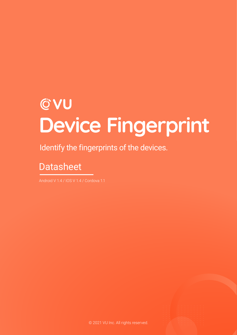# **CVU Device Fingerprint**

Identify the fingerprints of the devices.

# **Datasheet**

Android V 1.4 / IOS V 1.4 / Cordova 1.1

© 2021 VU Inc. All rights reserved.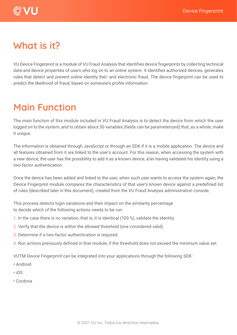

### **What is it?**

VU Device Fingerprint is a module of VU Fraud Analysis that identifies device fingerprints by collecting technical data and device properties of users who log on to an online system. It identifies authorized devices, generates rules that detect and prevent online identity the<sup>o</sup> and electronic fraud. The device fingerprint can be used to predict the likelihood of fraud, based on someone's profile information.

### **Main Function**

The main function of this module included in VU Fraud Analysis is to detect the device from which the user logged on to the system, and to obtain about 30 variables (fields can be parameterized) that, as a whole, make it unique.

The information is obtained through JavaScript or through an SDK if it is a mobile application. The device and all features obtained from it are linked to the user's account. For this reason, when accessing the system with a new device, the user has the possibility to add it as a known device, a�er having validated his identity using a two-factor authentication.

Once the device has been added and linked to the user, when such user wants to access the system again, the Device Fingerprint module compares the characteristics of that user's known device against a predefined list of rules (described later in this document), created from the VU Fraud Analysis administration console.

This process detects login variations and their impact on the similarity percentage to decide which of the following actions needs to be run:

- 1. In the case there is no variation, that is, it is identical (100 %), validate the identity.
- 2. Verify that the device is within the allowed threshold (one considered valid).
- 3. Determine if a two-factor authentication is required.
- 4. Run actions previously defined in that module, if the threshold does not exceed the minimum value set.

VUTM Device Fingerprint can be integrated into your applications through the following SDK:

- Android
- iOS
- Cordova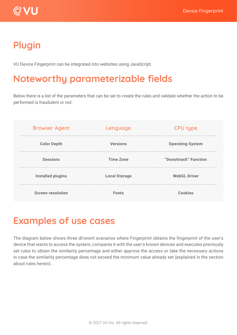

# **Plugin**

VU Device Fingerprint can be integrated into websites using JavaScript.

## **Noteworthy parameterizable fields**

Below there is a list of the parameters that can be set to create the rules and validate whether the action to be performed is fraudulent or not:

| <b>Browser Agent</b>     | Lenguage             | <b>CPU type</b>         |
|--------------------------|----------------------|-------------------------|
| <b>Color Depth</b>       | <b>Versions</b>      | <b>Operating System</b> |
| <b>Sessions</b>          | <b>Time Zone</b>     | "Donottrack" Function   |
| <b>Installed plugins</b> | <b>Local Storage</b> | <b>WebGL Driver</b>     |
| <b>Screen resolution</b> | <b>Fonts</b>         | <b>Cookies</b>          |

# **Examples of use cases**

The diagram below shows three di�erent scenarios where Fingerprint obtains the fingerprint of the user's device that wants to access the system, compares it with the user's known devices and executes previously set rules to obtain the similarity percentage and either approve the access or take the necessary actions in case the similarity percentage does not exceed the minimum value already set (explained in the section about rules herein).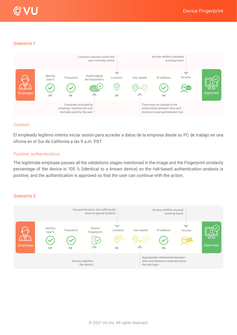



#### **Scenario 1**



#### Context:

El empleado legítimo intenta iniciar sesión para acceder a datos de la empresa desde su PC de trabajo en una oficina en el Sur de California a las 9 a.m. PST.

#### Positive authentication:

The legitimate employee passes all the validations stages mentioned in the image and the Fingerprint similarity percentage of the device is 100 % (identical to a known device) so the risk-based authentication analysis is positive, and the authentication is approved so that the user can continue with the action.

#### **Scenario 2**